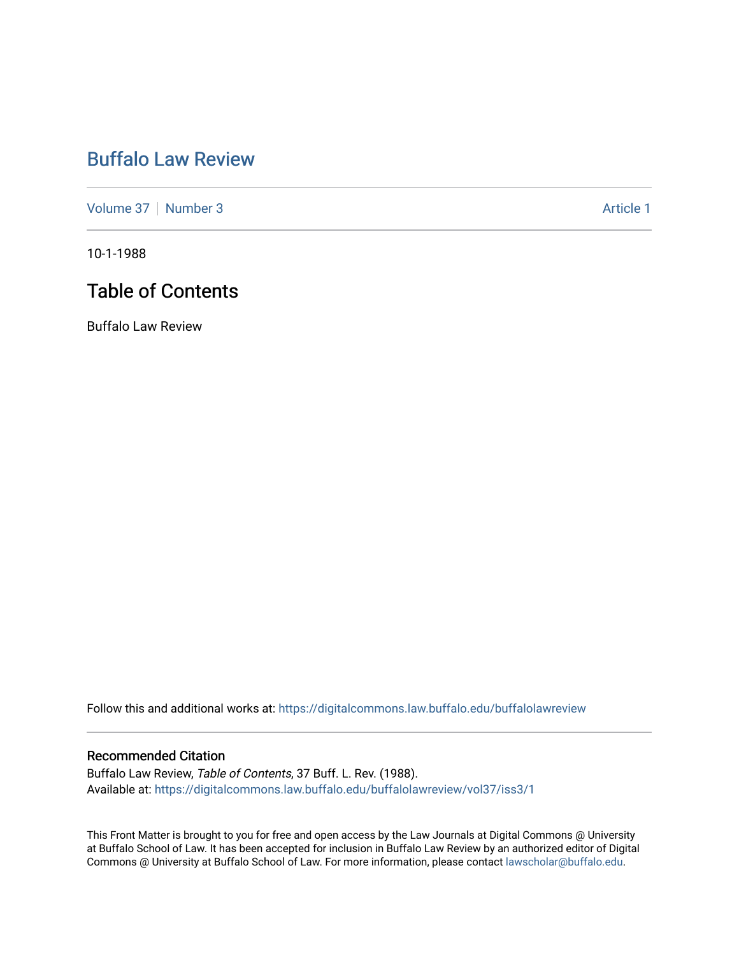# [Buffalo Law Review](https://digitalcommons.law.buffalo.edu/buffalolawreview)

[Volume 37](https://digitalcommons.law.buffalo.edu/buffalolawreview/vol37) [Number 3](https://digitalcommons.law.buffalo.edu/buffalolawreview/vol37/iss3) Article 1

10-1-1988

# Table of Contents

Buffalo Law Review

Follow this and additional works at: [https://digitalcommons.law.buffalo.edu/buffalolawreview](https://digitalcommons.law.buffalo.edu/buffalolawreview?utm_source=digitalcommons.law.buffalo.edu%2Fbuffalolawreview%2Fvol37%2Fiss3%2F1&utm_medium=PDF&utm_campaign=PDFCoverPages) 

#### Recommended Citation

Buffalo Law Review, Table of Contents, 37 Buff. L. Rev. (1988). Available at: [https://digitalcommons.law.buffalo.edu/buffalolawreview/vol37/iss3/1](https://digitalcommons.law.buffalo.edu/buffalolawreview/vol37/iss3/1?utm_source=digitalcommons.law.buffalo.edu%2Fbuffalolawreview%2Fvol37%2Fiss3%2F1&utm_medium=PDF&utm_campaign=PDFCoverPages) 

This Front Matter is brought to you for free and open access by the Law Journals at Digital Commons @ University at Buffalo School of Law. It has been accepted for inclusion in Buffalo Law Review by an authorized editor of Digital Commons @ University at Buffalo School of Law. For more information, please contact [lawscholar@buffalo.edu](mailto:lawscholar@buffalo.edu).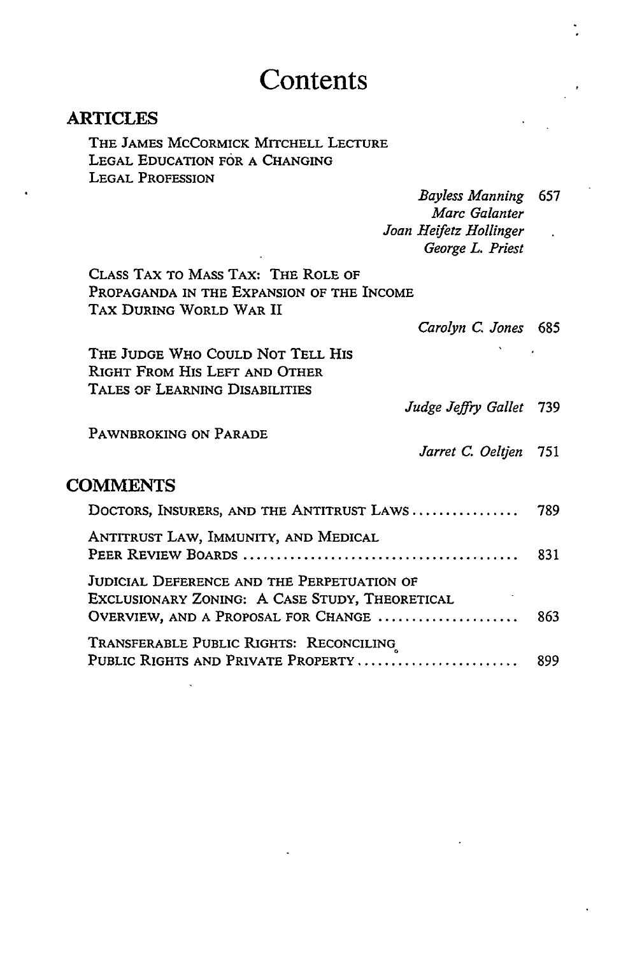## **Contents**

### ARTICLES

THE **JAMES** MCCORMICK MITCHELL **LECTURE** LEGAL EDUCATION FOR A CHANGING **LEGAL PROFESSION**

| Bayless Manning 657    |  |
|------------------------|--|
| Marc Galanter          |  |
| Joan Heifetz Hollinger |  |
| George L. Priest       |  |

CLASS TAX TO MASS TAX: THE ROLE OF PROPAGANDA IN THE EXPANSION OF THE INCOME TAX DURING WORLD WAR II

*Carolyn C. Jones 685*

*Jarret C. Oeltyen* 751

THE **JUDGE** WHO COULD NOT TELL HIS RIGHT FROM HIS LEFT **AND** OTHER **TALES** OF LEARNING DISABILITIES *Judge Jeffry Gallet* 739

PAWNBROKING ON PARADE

### **COMMENTS**

| DOCTORS, INSURERS, AND THE ANTITRUST LAWS 789                                                |  |
|----------------------------------------------------------------------------------------------|--|
| ANTITRUST LAW, IMMUNITY, AND MEDICAL                                                         |  |
| JUDICIAL DEFERENCE AND THE PERPETUATION OF<br>EXCLUSIONARY ZONING: A CASE STUDY, THEORETICAL |  |
| TRANSFERABLE PUBLIC RIGHTS: RECONCILING                                                      |  |